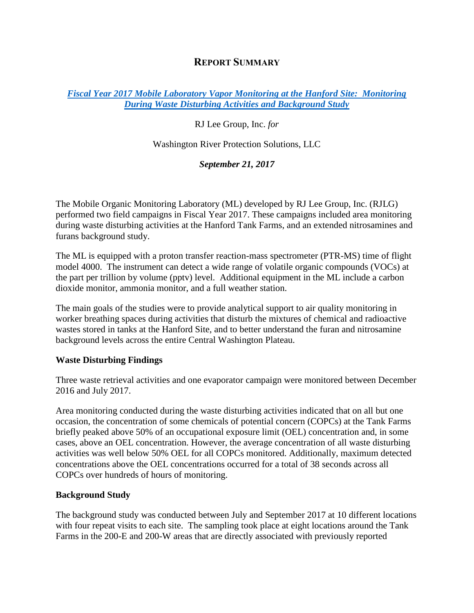## **REPORT SUMMARY**

### *[Fiscal Year 2017 Mobile Laboratory Vapor Monitoring at the Hanford Site: Monitoring](https://hanfordvapors.com/wp-content/uploads/2018/01/PTR-MS-Targeted-Campaign-FY2017-Report-PBI-34.0.2.pdf)  [During Waste Disturbing Activities and Background Study](https://hanfordvapors.com/wp-content/uploads/2018/01/PTR-MS-Targeted-Campaign-FY2017-Report-PBI-34.0.2.pdf)*

RJ Lee Group, Inc. *for*

Washington River Protection Solutions, LLC

*September 21, 2017*

The Mobile Organic Monitoring Laboratory (ML) developed by RJ Lee Group, Inc. (RJLG) performed two field campaigns in Fiscal Year 2017. These campaigns included area monitoring during waste disturbing activities at the Hanford Tank Farms, and an extended nitrosamines and furans background study.

The ML is equipped with a proton transfer reaction-mass spectrometer (PTR-MS) time of flight model 4000. The instrument can detect a wide range of volatile organic compounds (VOCs) at the part per trillion by volume (pptv) level. Additional equipment in the ML include a carbon dioxide monitor, ammonia monitor, and a full weather station.

The main goals of the studies were to provide analytical support to air quality monitoring in worker breathing spaces during activities that disturb the mixtures of chemical and radioactive wastes stored in tanks at the Hanford Site, and to better understand the furan and nitrosamine background levels across the entire Central Washington Plateau.

### **Waste Disturbing Findings**

Three waste retrieval activities and one evaporator campaign were monitored between December 2016 and July 2017.

Area monitoring conducted during the waste disturbing activities indicated that on all but one occasion, the concentration of some chemicals of potential concern (COPCs) at the Tank Farms briefly peaked above 50% of an occupational exposure limit (OEL) concentration and, in some cases, above an OEL concentration. However, the average concentration of all waste disturbing activities was well below 50% OEL for all COPCs monitored. Additionally, maximum detected concentrations above the OEL concentrations occurred for a total of 38 seconds across all COPCs over hundreds of hours of monitoring.

### **Background Study**

The background study was conducted between July and September 2017 at 10 different locations with four repeat visits to each site. The sampling took place at eight locations around the Tank Farms in the 200-E and 200-W areas that are directly associated with previously reported